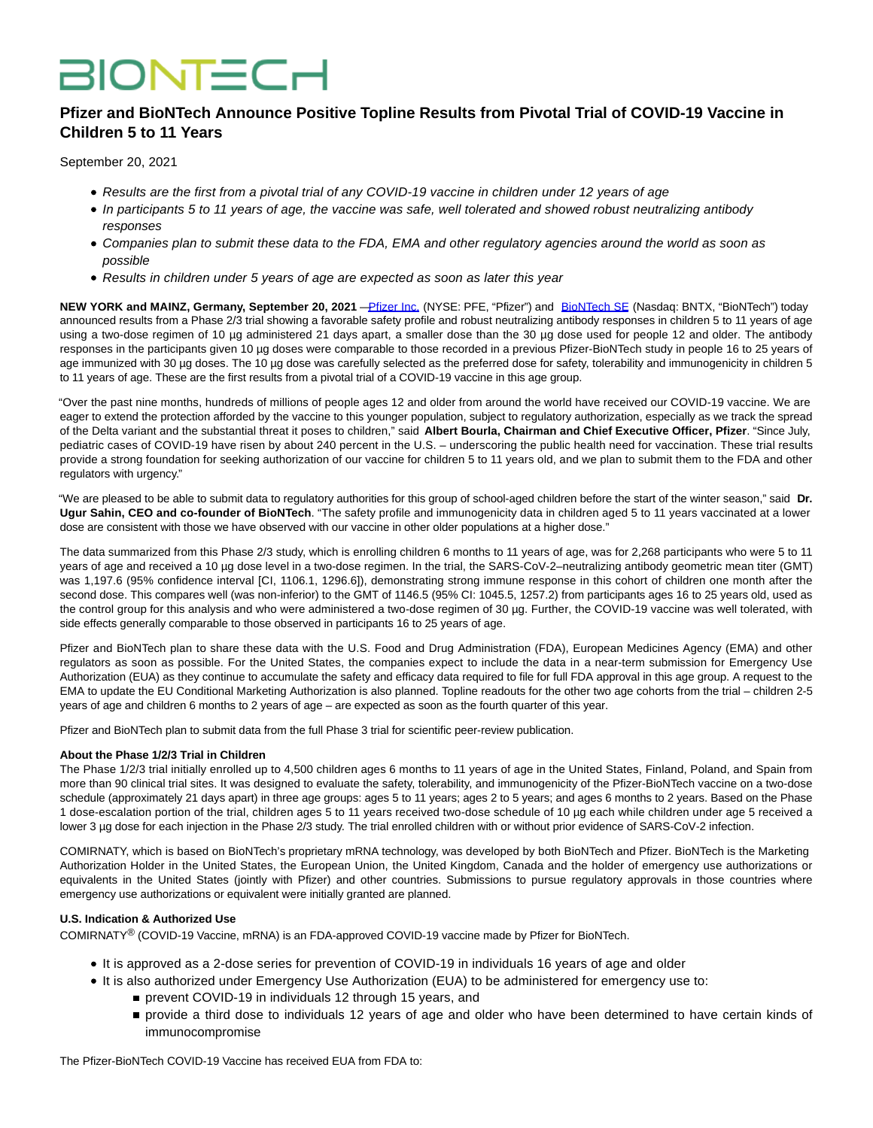# **BIONTECH**

# **Pfizer and BioNTech Announce Positive Topline Results from Pivotal Trial of COVID-19 Vaccine in Children 5 to 11 Years**

September 20, 2021

- Results are the first from a pivotal trial of any COVID-19 vaccine in children under 12 years of age
- In participants 5 to 11 years of age, the vaccine was safe, well tolerated and showed robust neutralizing antibody responses
- Companies plan to submit these data to the FDA, EMA and other regulatory agencies around the world as soon as possible
- Results in children under 5 years of age are expected as soon as later this year

**NEW YORK and MAINZ, Germany, September 20, 2021** [—Pfizer Inc. \(](https://www.globenewswire.com/Tracker?data=vORoA1UwZemz5_HQVAgb4_H2nCfKSRIWiykgGBaBAi0XaEDv54Tz9E_td6Cb0Wg8glJNU7t_MdhaIlUpW5VFwQ==)NYSE: PFE, "Pfizer") and [BioNTech SE \(](https://www.globenewswire.com/Tracker?data=JvNwcYPPqevWX-tCiyMIRIujKpqOQHedmvNfIhEoHNBs5JukbLr51uzviBBxvx7a0qUD1T2_LNAjmJKNavmNfg==)Nasdaq: BNTX, "BioNTech") today announced results from a Phase 2/3 trial showing a favorable safety profile and robust neutralizing antibody responses in children 5 to 11 years of age using a two-dose regimen of 10 µg administered 21 days apart, a smaller dose than the 30 µg dose used for people 12 and older. The antibody responses in the participants given 10 µg doses were comparable to those recorded in a previous Pfizer-BioNTech study in people 16 to 25 years of age immunized with 30 µg doses. The 10 µg dose was carefully selected as the preferred dose for safety, tolerability and immunogenicity in children 5 to 11 years of age. These are the first results from a pivotal trial of a COVID-19 vaccine in this age group.

"Over the past nine months, hundreds of millions of people ages 12 and older from around the world have received our COVID-19 vaccine. We are eager to extend the protection afforded by the vaccine to this younger population, subject to regulatory authorization, especially as we track the spread of the Delta variant and the substantial threat it poses to children," said **Albert Bourla, Chairman and Chief Executive Officer, Pfizer**. "Since July, pediatric cases of COVID-19 have risen by about 240 percent in the U.S. – underscoring the public health need for vaccination. These trial results provide a strong foundation for seeking authorization of our vaccine for children 5 to 11 years old, and we plan to submit them to the FDA and other regulators with urgency."

"We are pleased to be able to submit data to regulatory authorities for this group of school-aged children before the start of the winter season," said **Dr. Ugur Sahin, CEO and co-founder of BioNTech**. "The safety profile and immunogenicity data in children aged 5 to 11 years vaccinated at a lower dose are consistent with those we have observed with our vaccine in other older populations at a higher dose."

The data summarized from this Phase 2/3 study, which is enrolling children 6 months to 11 years of age, was for 2,268 participants who were 5 to 11 years of age and received a 10 µg dose level in a two-dose regimen. In the trial, the SARS-CoV-2–neutralizing antibody geometric mean titer (GMT) was 1,197.6 (95% confidence interval [CI, 1106.1, 1296.6]), demonstrating strong immune response in this cohort of children one month after the second dose. This compares well (was non-inferior) to the GMT of 1146.5 (95% CI: 1045.5, 1257.2) from participants ages 16 to 25 years old, used as the control group for this analysis and who were administered a two-dose regimen of 30 µg. Further, the COVID-19 vaccine was well tolerated, with side effects generally comparable to those observed in participants 16 to 25 years of age.

Pfizer and BioNTech plan to share these data with the U.S. Food and Drug Administration (FDA), European Medicines Agency (EMA) and other regulators as soon as possible. For the United States, the companies expect to include the data in a near-term submission for Emergency Use Authorization (EUA) as they continue to accumulate the safety and efficacy data required to file for full FDA approval in this age group. A request to the EMA to update the EU Conditional Marketing Authorization is also planned. Topline readouts for the other two age cohorts from the trial – children 2-5 years of age and children 6 months to 2 years of age – are expected as soon as the fourth quarter of this year.

Pfizer and BioNTech plan to submit data from the full Phase 3 trial for scientific peer-review publication.

## **About the Phase 1/2/3 Trial in Children**

The Phase 1/2/3 trial initially enrolled up to 4,500 children ages 6 months to 11 years of age in the United States, Finland, Poland, and Spain from more than 90 clinical trial sites. It was designed to evaluate the safety, tolerability, and immunogenicity of the Pfizer-BioNTech vaccine on a two-dose schedule (approximately 21 days apart) in three age groups: ages 5 to 11 years; ages 2 to 5 years; and ages 6 months to 2 years. Based on the Phase 1 dose-escalation portion of the trial, children ages 5 to 11 years received two-dose schedule of 10 µg each while children under age 5 received a lower 3 µg dose for each injection in the Phase 2/3 study. The trial enrolled children with or without prior evidence of SARS-CoV-2 infection.

COMIRNATY, which is based on BioNTech's proprietary mRNA technology, was developed by both BioNTech and Pfizer. BioNTech is the Marketing Authorization Holder in the United States, the European Union, the United Kingdom, Canada and the holder of emergency use authorizations or equivalents in the United States (jointly with Pfizer) and other countries. Submissions to pursue regulatory approvals in those countries where emergency use authorizations or equivalent were initially granted are planned.

# **U.S. Indication & Authorized Use**

COMIRNATY® (COVID-19 Vaccine, mRNA) is an FDA-approved COVID-19 vaccine made by Pfizer for BioNTech.

- It is approved as a 2-dose series for prevention of COVID-19 in individuals 16 years of age and older
- It is also authorized under Emergency Use Authorization (EUA) to be administered for emergency use to:
	- **prevent COVID-19 in individuals 12 through 15 years, and**
	- provide a third dose to individuals 12 years of age and older who have been determined to have certain kinds of immunocompromise

The Pfizer-BioNTech COVID-19 Vaccine has received EUA from FDA to: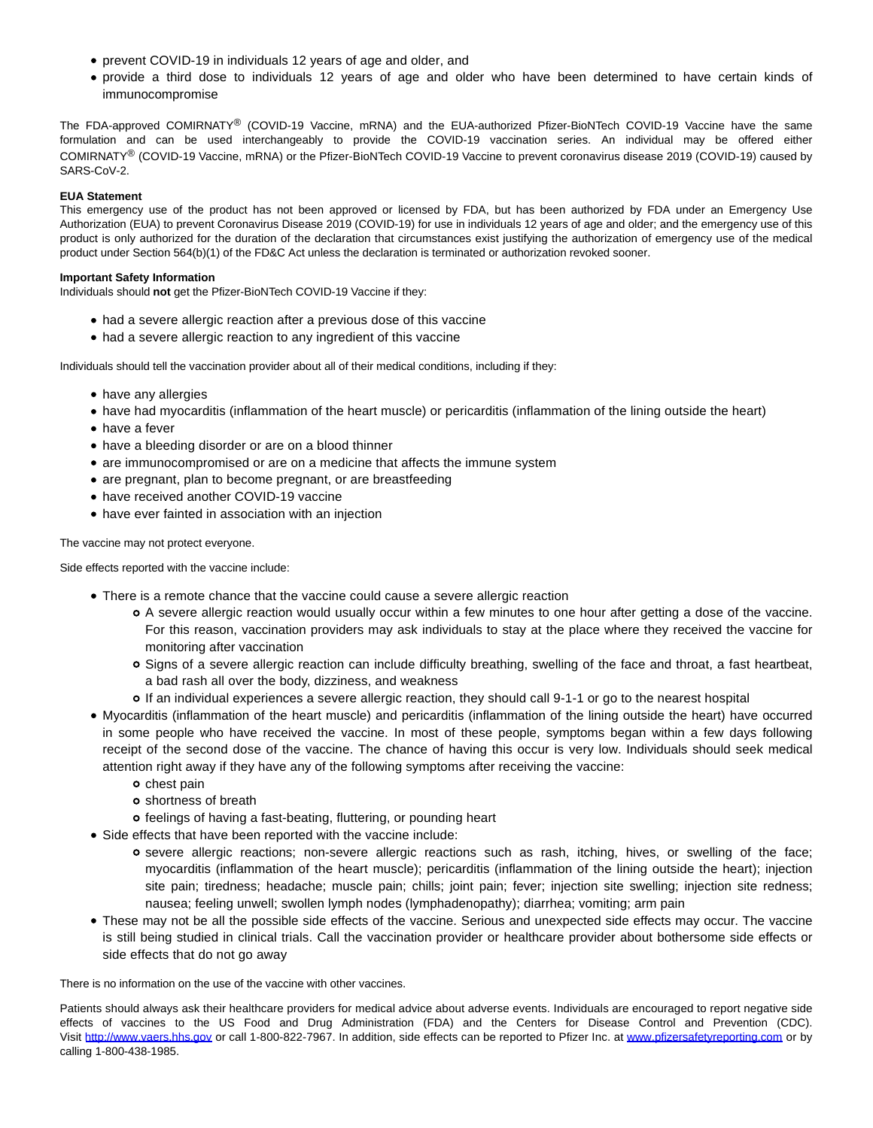- prevent COVID-19 in individuals 12 years of age and older, and
- provide a third dose to individuals 12 years of age and older who have been determined to have certain kinds of immunocompromise

The FDA-approved COMIRNATY® (COVID-19 Vaccine, mRNA) and the EUA-authorized Pfizer-BioNTech COVID-19 Vaccine have the same formulation and can be used interchangeably to provide the COVID-19 vaccination series. An individual may be offered either COMIRNATY® (COVID-19 Vaccine, mRNA) or the Pfizer-BioNTech COVID-19 Vaccine to prevent coronavirus disease 2019 (COVID-19) caused by SARS-CoV-2.

# **EUA Statement**

This emergency use of the product has not been approved or licensed by FDA, but has been authorized by FDA under an Emergency Use Authorization (EUA) to prevent Coronavirus Disease 2019 (COVID-19) for use in individuals 12 years of age and older; and the emergency use of this product is only authorized for the duration of the declaration that circumstances exist justifying the authorization of emergency use of the medical product under Section 564(b)(1) of the FD&C Act unless the declaration is terminated or authorization revoked sooner.

# **Important Safety Information**

Individuals should **not** get the Pfizer-BioNTech COVID-19 Vaccine if they:

- had a severe allergic reaction after a previous dose of this vaccine
- had a severe allergic reaction to any ingredient of this vaccine

Individuals should tell the vaccination provider about all of their medical conditions, including if they:

- have any allergies
- have had myocarditis (inflammation of the heart muscle) or pericarditis (inflammation of the lining outside the heart)
- have a fever
- have a bleeding disorder or are on a blood thinner
- are immunocompromised or are on a medicine that affects the immune system
- are pregnant, plan to become pregnant, or are breastfeeding
- have received another COVID-19 vaccine
- have ever fainted in association with an injection

The vaccine may not protect everyone.

Side effects reported with the vaccine include:

- There is a remote chance that the vaccine could cause a severe allergic reaction
	- A severe allergic reaction would usually occur within a few minutes to one hour after getting a dose of the vaccine. For this reason, vaccination providers may ask individuals to stay at the place where they received the vaccine for monitoring after vaccination
	- o Signs of a severe allergic reaction can include difficulty breathing, swelling of the face and throat, a fast heartbeat, a bad rash all over the body, dizziness, and weakness
	- If an individual experiences a severe allergic reaction, they should call 9-1-1 or go to the nearest hospital
- Myocarditis (inflammation of the heart muscle) and pericarditis (inflammation of the lining outside the heart) have occurred in some people who have received the vaccine. In most of these people, symptoms began within a few days following receipt of the second dose of the vaccine. The chance of having this occur is very low. Individuals should seek medical attention right away if they have any of the following symptoms after receiving the vaccine:
	- o chest pain
	- o shortness of breath
	- **o** feelings of having a fast-beating, fluttering, or pounding heart
- Side effects that have been reported with the vaccine include:
	- o severe allergic reactions; non-severe allergic reactions such as rash, itching, hives, or swelling of the face; myocarditis (inflammation of the heart muscle); pericarditis (inflammation of the lining outside the heart); injection site pain; tiredness; headache; muscle pain; chills; joint pain; fever; injection site swelling; injection site redness; nausea; feeling unwell; swollen lymph nodes (lymphadenopathy); diarrhea; vomiting; arm pain
- These may not be all the possible side effects of the vaccine. Serious and unexpected side effects may occur. The vaccine is still being studied in clinical trials. Call the vaccination provider or healthcare provider about bothersome side effects or side effects that do not go away

There is no information on the use of the vaccine with other vaccines.

Patients should always ask their healthcare providers for medical advice about adverse events. Individuals are encouraged to report negative side effects of vaccines to the US Food and Drug Administration (FDA) and the Centers for Disease Control and Prevention (CDC). Visit [http://www.vaers.hhs.gov o](https://www.globenewswire.com/Tracker?data=xdypPuTxcjAtzMWzjupygR06KoCRJLFZaTYPSRomIdcIUtE6Jt_y5MhWgVwDX4Vk0zcgC_lHD-T47lptcHwKmwCQzXZJzqFrKx9JfmWmVrsBZbf9FTiFNoNhyBykvBsjZ77oraPEodzvNxfijM1uq-18TpeEaSOFz80WfRN3V4Sy41Hw3cqcgJjbpMNxjkyfkOzVFhrtig2d0Z0cX0APRCi3mVYfG0UCWhexvFVIFZO5YfotM-2nBB55JAiPjR4OgqiU_2yQD7SRg1y34QQjHQx3TVj3b8O3Vyc6RIZx8UNym8S8hb1F0ng4INOZgsDI)r call 1-800-822-7967. In addition, side effects can be reported to Pfizer Inc. at [www.pfizersafetyreporting.com o](https://www.globenewswire.com/Tracker?data=DobgjF5UFLwybFyJOjveH4ANGz39pNLU9vo2bKYjFMRhqcUuHBKSxosuLoLGlJTDnqwx6KlOewlTSry9Brl0o-MxfLyi4ls26bY8iYVAQ05Np5f4wNax_W9r9VJh-zWNMU5CbOHv_M2-4Y9mq6xaKala-_Z5B2R0keCL8bIxfSqR_R-eU8xKrazdUw605wGb0VHFmJFw12znm2Yb-_EYH8hJdTZtMdfCI9aP631wtv7m5570rXWTP_q0N4Ho37_USInlg6lGoxXxhPPDF8LDGNH6p_zhPs4Nq4xlfiQy_NLVDIRik1lb8rjCwgMUW6wc2JAWm4ZeNFJmn2sKe1d7Bw==)r by calling 1-800-438-1985.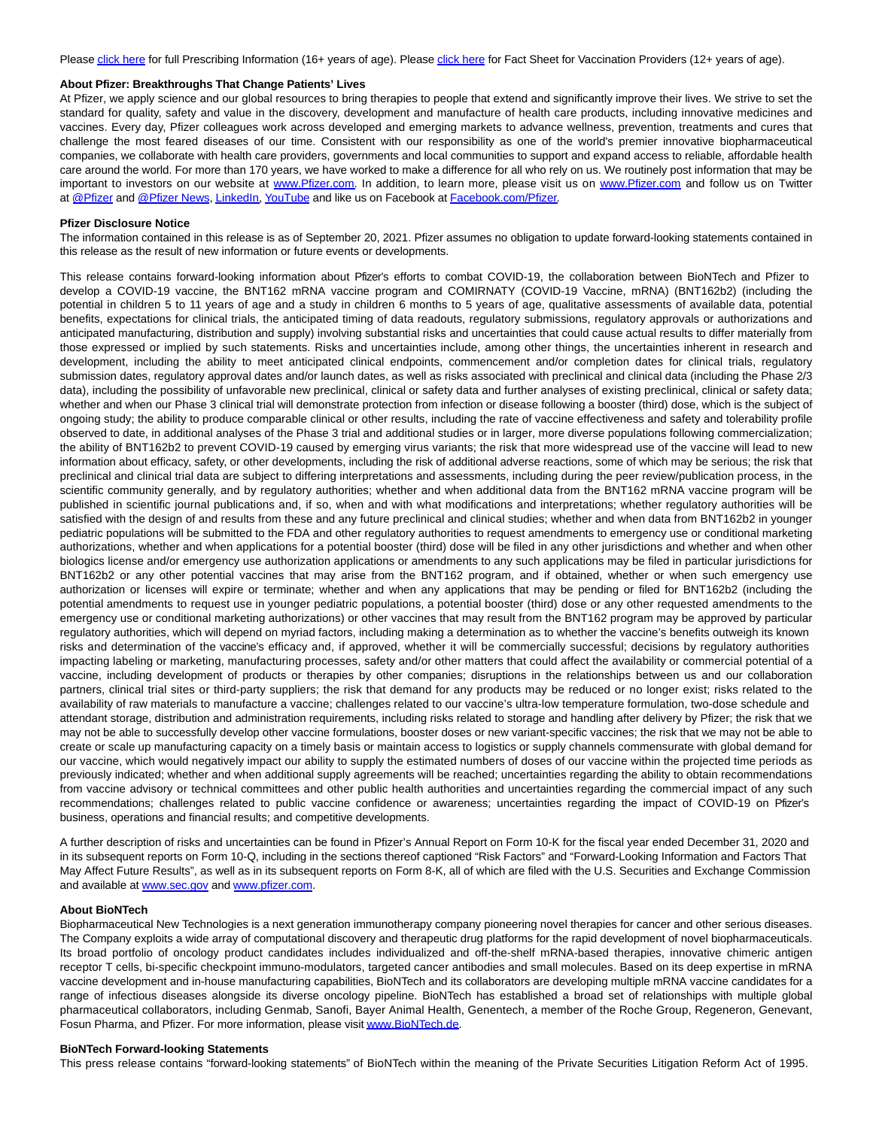Pleas[e click here f](https://www.globenewswire.com/Tracker?data=4AmawpC-6emOuGg_U5ohJo_0SlY_fFoxwxm8FP33z4LIesBQKeDSnDXeMb6qS7fQK4X39HsatK3yKvjhE4jItThVetvaKSH26hdeGkKNsdjJ4H2n3T9IDlbKJLQyo5CrAlwCttxf-TpXzN8l3-EXf89CmjYV7W1vIDepyT1o0Xa610_t9IPSZ4gc7546mAs8c5i_Qkhf5nHShttAHZYRWtBUeE0TG9ZGh1JIWSSIrArw_ljnskSewRIKjNgKTXwMZmwKQUhDQkq2LkX41SN28LVWh-ZWcVAyTFE55W_qSXjJwdzez6FntrqWkbET3ZmRpFhdic7alKERc-iKfqD4Pw==)or full Prescribing Information (16+ years of age). Please [click here f](https://www.globenewswire.com/Tracker?data=4AmawpC-6emOuGg_U5ohJrjpP762zjtIV1FSDYtJ2P-ia3gJI4ov06IE_MByy9m0l7zWR3rLhc0msi_Q_Y9fXyqNMzFOY2h1Tr7ubPCOZoQywEs8ooixYzQutWlVsp_PxRG3uK1sOSsIQvf5e_7GB0b7f1pEhj5PiUeItFrTGrKKA_HhZyyNWjgKhraCIWSprC3GGnajU33rQ66_VTOVbsYpX33FBrDKauJJGcFJ4ZeGQzd3ZvMY6f3Mcam3YHqksx8VLsXnQwPaXsl1ssCAgVX9up-dP3ugdIFEvReokMvSNc3jh-VdjzWpPFR6rAvv3chpW9FTRz698YsbJl_jeg==)or Fact Sheet for Vaccination Providers (12+ years of age).

#### **About Pfizer: Breakthroughs That Change Patients' Lives**

At Pfizer, we apply science and our global resources to bring therapies to people that extend and significantly improve their lives. We strive to set the standard for quality, safety and value in the discovery, development and manufacture of health care products, including innovative medicines and vaccines. Every day, Pfizer colleagues work across developed and emerging markets to advance wellness, prevention, treatments and cures that challenge the most feared diseases of our time. Consistent with our responsibility as one of the world's premier innovative biopharmaceutical companies, we collaborate with health care providers, governments and local communities to support and expand access to reliable, affordable health care around the world. For more than 170 years, we have worked to make a difference for all who rely on us. We routinely post information that may be important to investors on our website at [www.Pfizer.com.](https://www.globenewswire.com/Tracker?data=DobgjF5UFLwybFyJOjveH7l_isO49y5ZxGVdd5pykx23qbQ_vR0NmDG0C7vs6LoAG3r6i12tamK2oZdVabalr-9F4u6AM6JgLkXJIG-j1WttplPz3xIqjk09c8l6uaPC-Xrl1utOwyk8I3hTs0Y1CzwhZfuD_ga4GU4EgMH6PuNp_7Pho0kKSt9QzIcT8kw2HUuZsbRHiQxsohunHGXT8obZf9fyixR-VKm6jsqrBElGccohiZLInyYNHRr8l7iOTiuiwDatTJFLwBELg16FrMQhgZXb258vyRv3O4Ai_4c=) In addition, to learn more, please visit us on [www.Pfizer.com](https://www.globenewswire.com/Tracker?data=DobgjF5UFLwybFyJOjveH_F-aI2fYhR9c0SZj5_narv48qhXKGmnfytJZrz9oQUvMyqucc8gLnWwLSXBoXBI5XdPHxIBjfexcQaESwJVIjJkr4X9bO4_bd_h99RF4xcax2uqbZrD8UDlQlPTWuKYW-bq1TWzRxskuHuDHVTMj_qipo_Vg44tQ0f-Gl8uaQJdb-NAnwsc8IPcb4CF72RXA24kW4iM1DCtVe9WkfHhAdFJYi_sYP0rU09_0EyWkCaEdIOcN4quq06JmI2wWBoP55V-4EeBMo4hx4uYadzjIaU=) and follow us on Twitter at [@Pfizer a](https://www.globenewswire.com/Tracker?data=HmjwpONLv-_K-ZzsE2IXG-jsfhYNCZw4eiSJ1guzdDL4IZa_CnckhKGUxX15T2C7BqwWL1MRbeQLSRzier9UrlKIlTlxrxiMjlelM_XAchE19KurPe0qt4XTsWBCKQ3pqtiKAygxmWjReAQa_bzKD8vMXUKIYZ0rMuf2Loqb3PDazxFSB8o51td6h1Vh0ooP7qXDyvON2zi7VN5sLmX_SXLFII7E9OTv3FJ3yzjVFf3uHLuiPaeuZIAYXnW1E5p1i6JTG2Rq_yYhxJ4S6vzgvQ==)nd [@Pfizer News,](https://www.globenewswire.com/Tracker?data=HmjwpONLv-_K-ZzsE2IXG7nM7LuTQajyQD5hyN_U_v1t-U81rgAMAFtq2bRoDaHVmM6906UpIRLp9axoakXDVY9b0jXX7Wg8gQ9eyARvPEMMXyAgPm-QAanYLl2LHZMHzI4h-8kA0KVbzFqknCEfsAkx_E3L-uTfDbe2ZhqI0hLOjIpcLZV5XDFpEX3dBz4sW13Z0lo3Osw67gUHfzmEZgHeXgVW6FYmP2TBbyce3xuwVEItv7AehHOEaLFrGdcbJn8eKSrYeWaWhiMayxsM8lJE3sAK-uG2XSbZcSAm4Hc=) [LinkedIn,](https://www.globenewswire.com/Tracker?data=X8_frO7xai-ADFtCyMojnPbt0t65ppGwlAtpc_7tOKRZlQpV1veLd2lzLSCUWrcb67qoqrNw1bdN5xXTSxqcR7vQOZPDwrT1MldVGNh6fnyiCjfkdpOy2P0V-bGfc2tlfUgOr7SRvC0y_oG-_WN0Ht0oKh3qQehPMsk_FwEKO4s-R3PmoBlQc9Oy2XB9sE6PW2F7UlKwtFtZ5l-pg3Jtm06lxJFwYYbbNERQdOunjHcs9JTxYLAY0_C86DozUj2JGCjD3RL4vaGZtVazTmN12yBc6icd_RE4edlWLzc9nys=) [YouTube a](https://www.globenewswire.com/Tracker?data=BZ6aOm6hcWVJyMx7m1RnL6XzwoeWFuCn4OvQejzJOForgSWkSQuhI8nOogkCaL8G1Ulkj71ul9xRO8m5HVQA-wTBrULTLS8jNceQSMV96VMJGVCjPI7NNkE_6z82L7KQ8ulZzY9ghZ924PMB27b4HRbQR-ifpdzDBqMHd2fqjIthzur2e7WeKPht49sZ7UWfCYkYbhQb8WXwpEkEyVim8algfFnxtY0clzWLTAbqeRN_rMftabXVyC388LrxSNVWMvRjOXQ_HubdYfE6lT7edCW28cUF-KIDLgpT6DzCAGA=)nd like us on Facebook at [Facebook.com/Pfizer.](https://www.globenewswire.com/Tracker?data=8P9XoIgulyJvYsnMIDzHQROaKjhREWekIlZZLNU1rE5nM23FJrWFi6s_6X782Uyq07j9gBhz_wqe-RDaElAl9esZN4KNr6HDCpgb387HtVlDiOGQNyt2Mr5M9m4Ex_bt2JgI7xLJsLld7Kn1zaU5kWv-L6TEs4AaigMQwphlk-TnIppHOm_Y7mgizG6LInEvoyJv2NO9fnpTJPbgAsnlxL9CL_Zw5m5isFHyU413y2BjnGOKkuQWQioclBYaCulBGxuuX60lba_OM1eY6K8KYS3BhKsrV4Sm4Oak_Fj_NtZ_s6XCLZMYvYgVxPd9NsxN)

#### **Pfizer Disclosure Notice**

The information contained in this release is as of September 20, 2021. Pfizer assumes no obligation to update forward-looking statements contained in this release as the result of new information or future events or developments.

This release contains forward-looking information about Pfizer's efforts to combat COVID-19, the collaboration between BioNTech and Pfizer to develop a COVID-19 vaccine, the BNT162 mRNA vaccine program and COMIRNATY (COVID-19 Vaccine, mRNA) (BNT162b2) (including the potential in children 5 to 11 years of age and a study in children 6 months to 5 years of age, qualitative assessments of available data, potential benefits, expectations for clinical trials, the anticipated timing of data readouts, regulatory submissions, regulatory approvals or authorizations and anticipated manufacturing, distribution and supply) involving substantial risks and uncertainties that could cause actual results to differ materially from those expressed or implied by such statements. Risks and uncertainties include, among other things, the uncertainties inherent in research and development, including the ability to meet anticipated clinical endpoints, commencement and/or completion dates for clinical trials, regulatory submission dates, regulatory approval dates and/or launch dates, as well as risks associated with preclinical and clinical data (including the Phase 2/3 data), including the possibility of unfavorable new preclinical, clinical or safety data and further analyses of existing preclinical, clinical or safety data; whether and when our Phase 3 clinical trial will demonstrate protection from infection or disease following a booster (third) dose, which is the subject of ongoing study; the ability to produce comparable clinical or other results, including the rate of vaccine effectiveness and safety and tolerability profile observed to date, in additional analyses of the Phase 3 trial and additional studies or in larger, more diverse populations following commercialization; the ability of BNT162b2 to prevent COVID-19 caused by emerging virus variants; the risk that more widespread use of the vaccine will lead to new information about efficacy, safety, or other developments, including the risk of additional adverse reactions, some of which may be serious; the risk that preclinical and clinical trial data are subject to differing interpretations and assessments, including during the peer review/publication process, in the scientific community generally, and by regulatory authorities; whether and when additional data from the BNT162 mRNA vaccine program will be published in scientific journal publications and, if so, when and with what modifications and interpretations; whether regulatory authorities will be satisfied with the design of and results from these and any future preclinical and clinical studies; whether and when data from BNT162b2 in younger pediatric populations will be submitted to the FDA and other regulatory authorities to request amendments to emergency use or conditional marketing authorizations, whether and when applications for a potential booster (third) dose will be filed in any other jurisdictions and whether and when other biologics license and/or emergency use authorization applications or amendments to any such applications may be filed in particular jurisdictions for BNT162b2 or any other potential vaccines that may arise from the BNT162 program, and if obtained, whether or when such emergency use authorization or licenses will expire or terminate; whether and when any applications that may be pending or filed for BNT162b2 (including the potential amendments to request use in younger pediatric populations, a potential booster (third) dose or any other requested amendments to the emergency use or conditional marketing authorizations) or other vaccines that may result from the BNT162 program may be approved by particular regulatory authorities, which will depend on myriad factors, including making a determination as to whether the vaccine's benefits outweigh its known risks and determination of the vaccine's efficacy and, if approved, whether it will be commercially successful; decisions by regulatory authorities impacting labeling or marketing, manufacturing processes, safety and/or other matters that could affect the availability or commercial potential of a vaccine, including development of products or therapies by other companies; disruptions in the relationships between us and our collaboration partners, clinical trial sites or third-party suppliers; the risk that demand for any products may be reduced or no longer exist; risks related to the availability of raw materials to manufacture a vaccine; challenges related to our vaccine's ultra-low temperature formulation, two-dose schedule and attendant storage, distribution and administration requirements, including risks related to storage and handling after delivery by Pfizer; the risk that we may not be able to successfully develop other vaccine formulations, booster doses or new variant-specific vaccines; the risk that we may not be able to create or scale up manufacturing capacity on a timely basis or maintain access to logistics or supply channels commensurate with global demand for our vaccine, which would negatively impact our ability to supply the estimated numbers of doses of our vaccine within the projected time periods as previously indicated; whether and when additional supply agreements will be reached; uncertainties regarding the ability to obtain recommendations from vaccine advisory or technical committees and other public health authorities and uncertainties regarding the commercial impact of any such recommendations; challenges related to public vaccine confidence or awareness; uncertainties regarding the impact of COVID-19 on Pfizer's business, operations and financial results; and competitive developments.

A further description of risks and uncertainties can be found in Pfizer's Annual Report on Form 10-K for the fiscal year ended December 31, 2020 and in its subsequent reports on Form 10-Q, including in the sections thereof captioned "Risk Factors" and "Forward-Looking Information and Factors That May Affect Future Results", as well as in its subsequent reports on Form 8-K, all of which are filed with the U.S. Securities and Exchange Commission and available at [www.sec.gov a](https://www.globenewswire.com/Tracker?data=DobgjF5UFLwybFyJOjveH_beAcU4k0VNz7tD3JIJPveFtBqTi0-M03Lmc8kf3ZOANUFhEpBGcCgOmQ0vspi6r_fxGhJosdgas474HGsOqjlBAWL1rsP4R2GX1cBP_gboOO-50UVZbBV1WE7WETXCPoHCsaqvE4vP0DxIBqglKdHtGxyEKgBUtVLpf_5vMsOiN8HCRZXWx4KtXx0jQ34SWzqlCm_3KI8jGjIjYalTu_u0UHGRra7rr0VMHscjDbSofgTHNqavO4-Z73VqLvM8LErGK-CdazMKYHPW38y5LmEValzpYjM7CtxNvZhNcoRCS1N2KcbjpTCkOtl2_niy7u8d7CJghbYWrtoELCh1O_p87j5kAZapiMkXuN7QsV-ZLkgYWe34oFbff5__VjxPJ0d6fRjIucu2fdSZhdkR7T78q-NQptoDmnRKImF9tDvi)nd [www.pfizer.com.](https://www.globenewswire.com/Tracker?data=DobgjF5UFLwybFyJOjveH2TqdXNOYzzTeemfGPGqmnvzI3UDLJltTpJmPHog6IwKs42Mgu3XrScqQSdYMr7-Q3UcltAQ0cs1i3N-U9cWrdSbC_uQoPe83SmClT861mCDYBp00tpB0hLiTjlkKu5ObixH8HFyWCRvYUdx8PBvVcIpRz4pD3CyzFJwdPvyfgekNkuGOCVHHtmH1hvWyNSlQK7WRjSteBWSZNhnsIMICNHlQvnJF8uC2Q3tSXseC2ZJ6ntQZ1Xm94RoOottx7aGpRbIV1-Gg_fC_z2UNt3Peb4d8vS6Pt7yXyDfW5QR38PDXAsSatiaJ3R_RHM8oXAQHu_2182Y_cWV3L3M26Hp4aESk9u3atZm_ss29t_DtXJW1nioVhcg2mPeHEWiPiVoyy2a0bCw-2KPpxI8w87DBjRqVHnxdNvbflpk6q1lp6Hz)

#### **About BioNTech**

Biopharmaceutical New Technologies is a next generation immunotherapy company pioneering novel therapies for cancer and other serious diseases. The Company exploits a wide array of computational discovery and therapeutic drug platforms for the rapid development of novel biopharmaceuticals. Its broad portfolio of oncology product candidates includes individualized and off-the-shelf mRNA-based therapies, innovative chimeric antigen receptor T cells, bi-specific checkpoint immuno-modulators, targeted cancer antibodies and small molecules. Based on its deep expertise in mRNA vaccine development and in-house manufacturing capabilities, BioNTech and its collaborators are developing multiple mRNA vaccine candidates for a range of infectious diseases alongside its diverse oncology pipeline. BioNTech has established a broad set of relationships with multiple global pharmaceutical collaborators, including Genmab, Sanofi, Bayer Animal Health, Genentech, a member of the Roche Group, Regeneron, Genevant, Fosun Pharma, and Pfizer. For more information, please visi[t www.BioNTech.de.](https://www.globenewswire.com/Tracker?data=DobgjF5UFLwybFyJOjveHxX_DlcnaCt7DvykNBUUmJ52i3uM13-uYknB4nzjkk_hA9CsdhoF3tiQ5CmT7dm4V0J9R36LUckLX4N86_Xhy8ngLaUd11EENK6cEpHm6sF3AfZV82eNh8fe3KAFdL8-wOr-oNLqB87awRVOCNc-TeJK2xk4gNcw6wg7qS0rlNPDul39hv9snnFFZduWhH-wDQjsesP-cZ9O6gWBBWBXRGWofQEyJuwPUc62GHplDpWvnMeGQvu5SHladW6piwMNjKRv9VZwHPyuWdniBqSZbjM=)

#### **BioNTech Forward-looking Statements**

This press release contains "forward-looking statements" of BioNTech within the meaning of the Private Securities Litigation Reform Act of 1995.